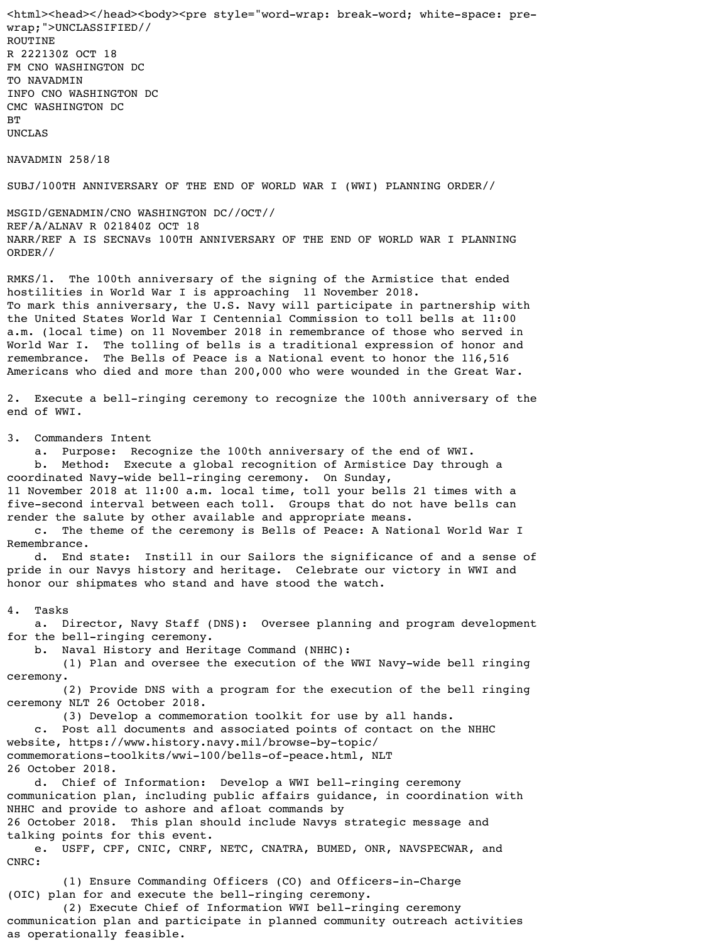<html><head></head><body><pre style="word-wrap: break-word; white-space: prewrap;">UNCLASSIFIED// ROUTINE R 222130Z OCT 18 FM CNO WASHINGTON DC TO NAVADMIN INFO CNO WASHINGTON DC CMC WASHINGTON DC BT

UNCLAS

NAVADMIN 258/18

SUBJ/100TH ANNIVERSARY OF THE END OF WORLD WAR I (WWI) PLANNING ORDER//

MSGID/GENADMIN/CNO WASHINGTON DC//OCT// REF/A/ALNAV R 021840Z OCT 18 NARR/REF A IS SECNAVs 100TH ANNIVERSARY OF THE END OF WORLD WAR I PLANNING ORDER//

RMKS/1. The 100th anniversary of the signing of the Armistice that ended hostilities in World War I is approaching 11 November 2018. To mark this anniversary, the U.S. Navy will participate in partnership with the United States World War I Centennial Commission to toll bells at 11:00 a.m. (local time) on 11 November 2018 in remembrance of those who served in World War I. The tolling of bells is a traditional expression of honor and remembrance. The Bells of Peace is a National event to honor the 116,516 Americans who died and more than 200,000 who were wounded in the Great War.

2. Execute a bell-ringing ceremony to recognize the 100th anniversary of the end of WWI.

3. Commanders Intent

a. Purpose: Recognize the 100th anniversary of the end of WWI.

 b. Method: Execute a global recognition of Armistice Day through a coordinated Navy-wide bell-ringing ceremony. On Sunday,

11 November 2018 at 11:00 a.m. local time, toll your bells 21 times with a five-second interval between each toll. Groups that do not have bells can render the salute by other available and appropriate means.

 c. The theme of the ceremony is Bells of Peace: A National World War I Remembrance.

 d. End state: Instill in our Sailors the significance of and a sense of pride in our Navys history and heritage. Celebrate our victory in WWI and honor our shipmates who stand and have stood the watch.

4. Tasks

 a. Director, Navy Staff (DNS): Oversee planning and program development for the bell-ringing ceremony.

b. Naval History and Heritage Command (NHHC):

 (1) Plan and oversee the execution of the WWI Navy-wide bell ringing ceremony.

 (2) Provide DNS with a program for the execution of the bell ringing ceremony NLT 26 October 2018.

(3) Develop a commemoration toolkit for use by all hands.

 c. Post all documents and associated points of contact on the NHHC website, https://www.history.navy.mil/browse-by-topic/ commemorations-toolkits/wwi-100/bells-of-peace.html, NLT 26 October 2018.

 d. Chief of Information: Develop a WWI bell-ringing ceremony communication plan, including public affairs guidance, in coordination with NHHC and provide to ashore and afloat commands by 26 October 2018. This plan should include Navys strategic message and talking points for this event.

 e. USFF, CPF, CNIC, CNRF, NETC, CNATRA, BUMED, ONR, NAVSPECWAR, and CNRC:

 (1) Ensure Commanding Officers (CO) and Officers-in-Charge (OIC) plan for and execute the bell-ringing ceremony.

 (2) Execute Chief of Information WWI bell-ringing ceremony communication plan and participate in planned community outreach activities as operationally feasible.